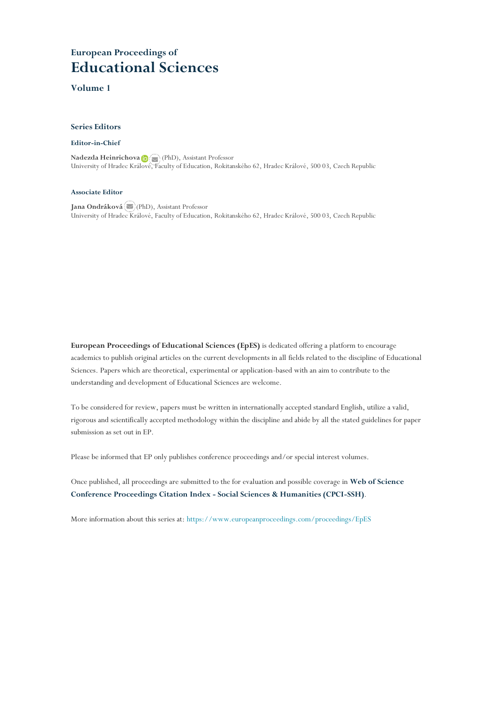## **European Proceedings of Educational Sciences**

#### **Volume 1**

#### **Series Editors**

#### **Editor-in-Chief**

**Nadezda Heinrichova**(PhD), Assistant Professor University of Hradec Králové, [Fa](mailto:nadezda.heinrichova@uhk.cz)culty of Education, Rokitanského 62, Hradec Králové, 500 03, Czech Republic

#### **Associate Editor**

**Jana Ondráková**(PhD), Assistant Professor University of Hradec Králové, Faculty of Education, Rokitanského 62, Hradec Králové, 500 03, Czech Republic

**European Proceedings of Educational Sciences (EpES)** is dedicated offering a platform to encourage academics to publish original articles on the current developments in all fields related to the discipline of Educational Sciences. Papers which are theoretical, experimental or application-based with an aim to contribute to the understanding and development of Educational Sciences are welcome.

To be considered for review, papers must be written in internationally accepted standard English, utilize a valid, rigorous and scientifically accepted methodology within the discipline and abide by all the stated guidelines for paper submission as set out in EP.

Please be informed that EP only publishes conference proceedings and/or special interest volumes.

Once published, all proceedings are submitted to the for evaluation and possible coverage in **Web of [Science](https://clarivate.com/webofsciencegroup/solutions/webofscience-cpci/) Conference [Proceedings](https://clarivate.com/webofsciencegroup/solutions/webofscience-cpci/) Citation Index - Social Sciences & Humanities (CPCI-SSH)**.

More information about this series at: <https://www.europeanproceedings.com/proceedings/EpES>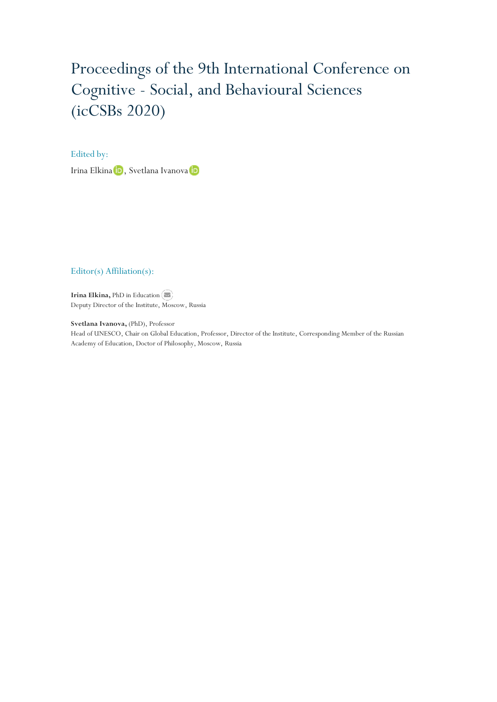# Proceedings of the 9th International Conference on Cognitive - Social, and Behavioural Sciences (icCSBs 2020)

Edited by:

IrinaElkina D, Svetlana Ivanova D

Editor(s) Affiliation(s):

**Irina Elkina,** PhD in Education Deputy Director of the Institute, Moscow, Russia

Svetlana Ivanova, (PhD), Professor Head of UNESCO, Chair on Global Education, Professor, Director of the Institute, Corresponding Member of the Russian Academy of Education, Doctor of Philosophy, Moscow, Russia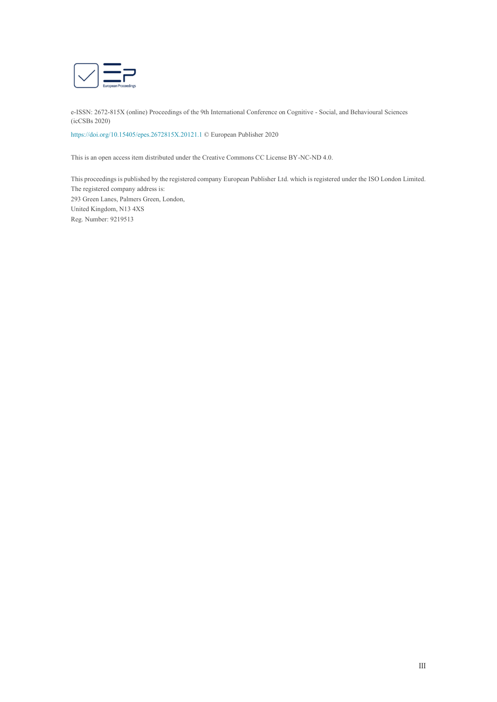

e-ISSN: 2672-815X (online) Proceedings of the 9th International Conference on Cognitive - Social, and Behavioural Sciences (icCSBs 2020)

<https://doi.org/10.15405/epes.2672815X.20121.1> © European Publisher 2020

This is an open access item distributed under the Creative Commons CC License BY-NC-ND 4.0.

This proceedings is published by the registered company European Publisher Ltd. which is registered under the ISO London Limited. The registered company address is: 293 Green Lanes, Palmers Green, London, United Kingdom, N13 4XS Reg. Number: 9219513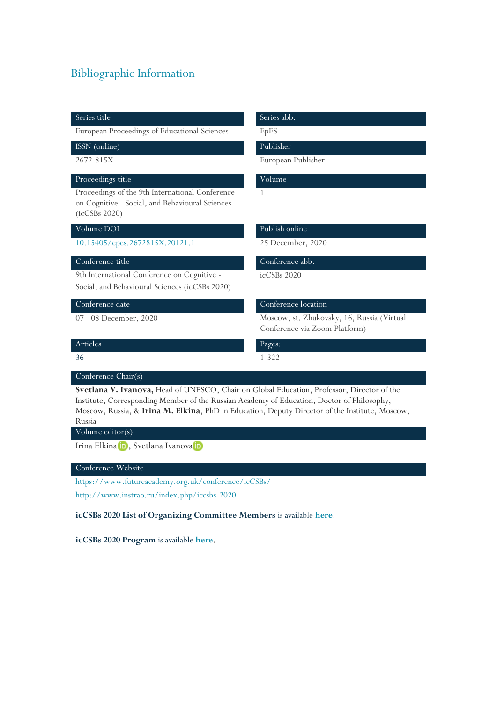### Bibliographic Information

| Series title                                                                                                        | Series abb.                                                                 |
|---------------------------------------------------------------------------------------------------------------------|-----------------------------------------------------------------------------|
| European Proceedings of Educational Sciences                                                                        | <b>EpES</b>                                                                 |
| ISSN (online)                                                                                                       | Publisher                                                                   |
| 2672-815X                                                                                                           | European Publisher                                                          |
| Proceedings title                                                                                                   | Volume                                                                      |
| Proceedings of the 9th International Conference<br>on Cognitive - Social, and Behavioural Sciences<br>(icCSBs 2020) |                                                                             |
| Volume DOI                                                                                                          | Publish online                                                              |
| 10.15405/epes.2672815X.20121.1                                                                                      | 25 December, 2020                                                           |
| Conference title                                                                                                    | Conference abb.                                                             |
| 9th International Conference on Cognitive -<br>Social, and Behavioural Sciences (icCSBs 2020)                       | $icCSBs$ 2020                                                               |
| Conference date                                                                                                     | Conference location                                                         |
| 07 - 08 December, 2020                                                                                              | Moscow, st. Zhukovsky, 16, Russia (Virtual<br>Conference via Zoom Platform) |
| Articles                                                                                                            | Pages:                                                                      |
| 36                                                                                                                  | $1 - 322$                                                                   |

**Svetlana V. Ivanova,** Head of UNESCO, Chair on Global Education, Professor, Director of the Institute, Corresponding Member of the Russian Academy of Education, Doctor of Philosophy, Moscow, Russia, & **Irina M. Elkina**, PhD in Education, Deputy Director of the Institute, Moscow, Russia

Volume editor(s)

IrinaElkina iD, Svetlana Ivanova<sup>fiD</sup>

#### Conference Website

https://www.futureacademy.org.uk/conference/icCSBs/

http://www.instrao.ru/index.php/iccsbs-2020

**icCSBs 2020 List of Organizing Committee Members** is available **[here](https://www.europeanproceedings.com/files/data/fileManager/2020_iccsbs-org-com.pdf)**.

**icCSBs 2020 Program** is available **[here](https://doi.org/10.15405/iccsbs2020(2357-1292))**.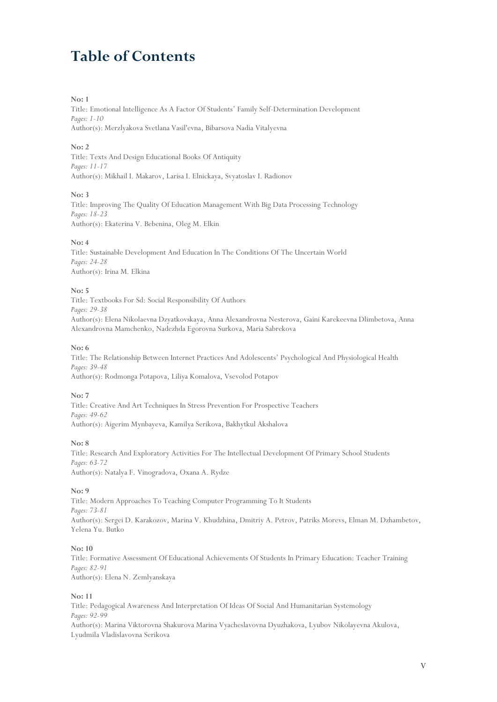## **Table of Contents**

#### **No: 1**

Title: Emotional Intelligence As A Factor Of Students' Family Self-Determination Development *Pages: 1-10* Author(s): Merzlyakova Svetlana Vasil'evna, Bibarsova Nadia Vitalyevna

#### **No: 2**

Title: Texts And Design Educational Books Of Antiquity *Pages: 11-17* Author(s): Mikhail I. Makarov, Larisa I. Elnickaya, Svyatoslav I. Radionov

#### **No: 3**

Title: Improving The Quality Of Education Management With Big Data Processing Technology *Pages: 18-23* Author(s): Ekaterina V. Bebenina, Oleg M. Elkin

#### **No: 4**

Title: Sustainable Development And Education In The Conditions Of The Uncertain World *Pages: 24-28* Author(s): Irina M. Elkina

#### **No: 5**

Title: Textbooks For Sd: Social Responsibility Of Authors *Pages: 29-38* Author(s): Elena Nikolaevna Dzyatkovskaya, Anna Alexandrovna Nesterova, Gaini Karekeevna Dlimbetova, Anna Alexandrovna Mamchenko, Nadezhda Egorovna Surkova, Maria Sabrekova

#### **No: 6**

Title: The Relationship Between Internet Practices And Adolescents' Psychological And Physiological Health *Pages: 39-48* Author(s): Rodmonga Potapova, Liliya Komalova, Vsevolod Potapov

#### **No: 7**

Title: Creative And Art Techniques In Stress Prevention For Prospective Teachers *Pages: 49-62* Author(s): Aigerim Mynbayeva, Kamilya Serikova, Bakhytkul Akshalova

#### **No: 8**

Title: Research And Exploratory Activities For The Intellectual Development Of Primary School Students *Pages: 63-72* Author(s): Natalya F. Vinogradova, Oxana A. Rydze

#### **No: 9**

Title: Modern Approaches To Teaching Computer Programming To It Students *Pages: 73-81* Author(s): Sergei D. Karakozov, Marina V. Khudzhina, Dmitriy A. Petrov, Patriks Morevs, Elman M. Dzhambetov, Yelena Yu. Butko

#### **No: 10**

Title: Formative Assessment Of Educational Achievements Of Students In Primary Education: Teacher Training *Pages: 82-91* Author(s): Elena N. Zemlyanskaya

#### **No: 11**

Title: Pedagogical Awareness And Interpretation Of Ideas Of Social And Humanitarian Systemology *Pages: 92-99* Author(s): Marina Viktorovna Shakurova Marina Vyacheslavovna Dyuzhakova, Lyubov Nikolayevna Akulova, Lyudmila Vladislavovna Serikova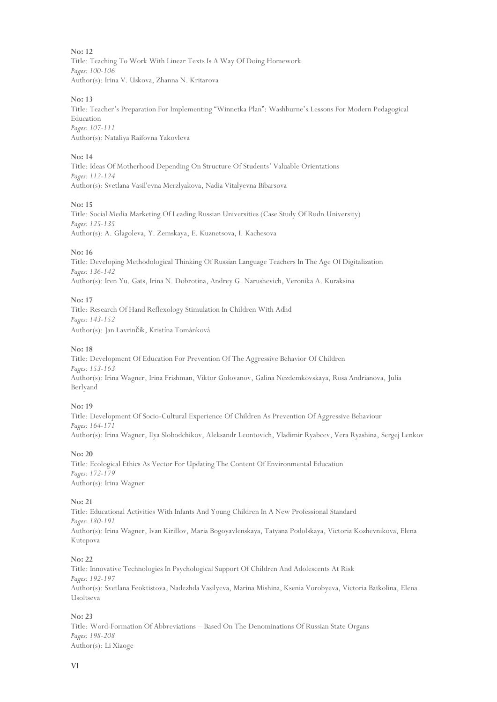**No: 12** Title: Teaching To Work With Linear Texts Is A Way Of Doing Homework *Pages: 100-106* Author(s): Irina V. Uskova, Zhanna N. Kritarova

#### **No: 13**

Title: Teacher's Preparation For Implementing "Winnetka Plan": Washburne's Lessons For Modern Pedagogical Education *Pages: 107-111* Author(s): Nataliya Raifovna Yakovleva

#### **No: 14**

Title: Ideas Of Motherhood Depending On Structure Of Students' Valuable Orientations *Pages: 112-124* Author(s): Svetlana Vasil'evna Merzlyakova, Nadia Vitalyevna Bibarsova

#### **No: 15**

Title: Social Media Marketing Of Leading Russian Universities (Case Study Of Rudn University) *Pages: 125-135* Author(s): A. Glagoleva, Y. Zemskaya, E. Kuznetsova, I. Kachesova

#### **No: 16**

Title: Developing Methodological Thinking Of Russian Language Teachers In The Age Of Digitalization *Pages: 136-142* Author(s): Iren Yu. Gats, Irina N. Dobrotina, Andrey G. Narushevich, Veronika A. Kuraksina

#### **No: 17**

Title: Research Of Hand Reflexology Stimulation In Children With Adhd *Pages: 143-152* Author(s): Jan Lavrinčík, Kristína Tománková

#### **No: 18**

Title: Development Of Education For Prevention Of The Aggressive Behavior Of Children *Pages: 153-163* Author(s): Irina Wagner, Irina Frishman, Viktor Golovanov, Galina Nezdemkovskaya, Rosa Andrianova, Julia Berlyand

#### **No: 19**

Title: Development Of Socio-Cultural Experience Of Children As Prevention Of Aggressive Behaviour *Pages: 164-171* Author(s): Irina Wagner, Ilya Slobodchikov, Aleksandr Leontovich, Vladimir Ryabcev, Vera Ryashina, Sergej Lenkov

#### **No: 20**

Title: Ecological Ethics As Vector For Updating The Content Of Environmental Education *Pages: 172-179* Author(s): Irina Wagner

#### **No: 21**

Title: Educational Activities With Infants And Young Children In A New Professional Standard *Pages: 180-191* Author(s): Irina Wagner, Ivan Kirillov, Maria Bogoyavlenskaya, Tatyana Podolskaya, Victoria Kozhevnikova, Elena Kutepova

#### **No: 22**

Title: Innovative Technologies In Psychological Support Of Children And Adolescents At Risk *Pages: 192-197* Author(s): Svetlana Feoktistova, Nadezhda Vasilyeva, Marina Mishina, Ksenia Vorobyeva, Victoria Batkolina, Elena Usoltseva

#### **No: 23**

Title: Word-Formation Of Abbreviations – Based On The Denominations Of Russian State Organs *Pages: 198-208* Author(s): Li Xiaoge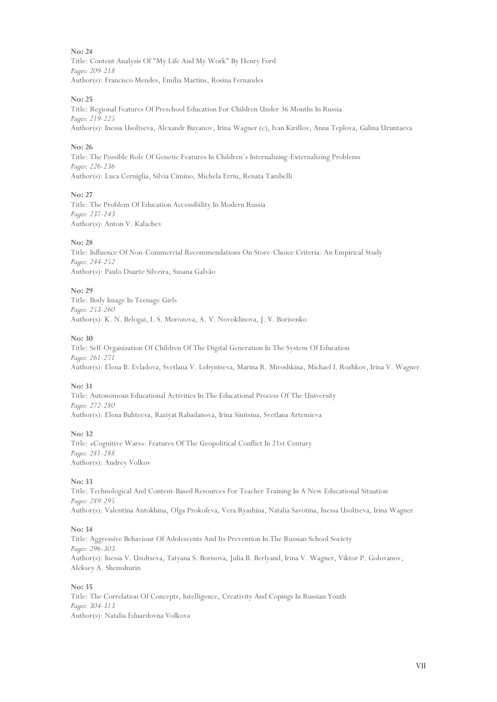**No: 24** Title: Content Analysis Of "My Life And My Work" By Henry Ford *Pages: 209-218* Author(s): Francisco Mendes, Emília Martins, Rosina Fernandes

#### **No: 25**

Title: Regional Features Of Preschool Education For Children Under 36 Months In Russia *Pages: 219-225* Author(s): Inessa Usoltseva, Alexandr Buyanov, Irina Wagner (c), Ivan Kirillov, Anna Teplova, Galina Uruntaeva

#### **No: 26**

Title: The Possible Role Of Genetic Features In Children's Internalizing-Externalizing Problems *Pages: 226-236* Author(s): Luca Cerniglia, Silvia Cimino, Michela Erriu, Renata Tambelli

#### **No: 27**

Title: The Problem Of Education Accessibility In Modern Russia *Pages: 237-243* Author(s): Anton V. Kalachev

#### **No: 28**

Title: Influence Of Non-Commercial Recommendations On Store-Choice Criteria: An Empirical Study *Pages: 244-252* Author(s): Paulo Duarte Silveira, Susana Galvão

#### **No: 29**

Title: Body Image In Teenage Girls *Pages: 253-260* Author(s): K. N. Belogai, I. S. Morozova, A. V. Novoklinova, J. V. Borisenko

#### **No: 30**

Title: Self-Organization Of Children Of The Digital Generation In The System Of Education *Pages: 261-271* Author(s): Elena B. Evladova, Svetlana V. Lobyntseva, Marina R. Miroshkina, Michael I. Rozhkov, Irina V. Wagner

#### **No: 31**

Title: Autonomous Educational Activities In The Educational Process Of The University *Pages: 272-280* Author(s): Elena Buhteeva, Raziyat Rabadanova, Irina Sinitsina, Svetlana Artemieva

#### **No: 32**

Title: «Cognitive Wars»: Features Of The Geopolitical Conflict In 21st Century *Pages: 281-288* Author(s): Andrey Volkov

#### **No: 33**

Title: Technological And Content-Based Resources For Teacher Training In A New Educational Situation *Pages: 289-295* Author(s): Valentina Antokhina, Olga Prokofeva, Vera Ryashina, Natalia Savotina, Inessa Usoltseva, Irina Wagner

#### **No: 34**

Title: Aggressive Behaviour Of Adolescents And Its Prevention In The Russian School Society *Pages: 296-303* Author(s): Inessa V. Usoltseva, Tatyana S. Borisova, Julia B. Berlyand, Irina V. Wagner, Viktor P. Golovanov, Aleksey A. Shemshurin

#### **No: 35**

Title: The Correlation Of Concepts, Intelligence, Creativity And Copings In Russian Youth *Pages: 304-313* Author(s): Natalia Eduardovna Volkova